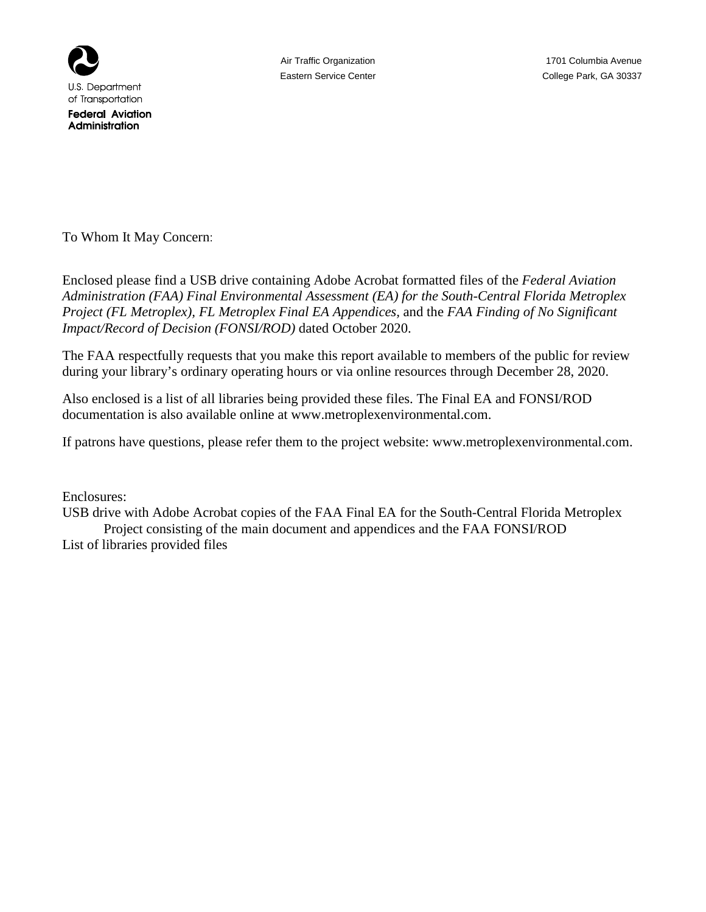

**Federal Aviation** Administration

To Whom It May Concern:

Enclosed please find a USB drive containing Adobe Acrobat formatted files of the *Federal Aviation Administration (FAA) Final Environmental Assessment (EA) for the South-Central Florida Metroplex Project (FL Metroplex), FL Metroplex Final EA Appendices,* and the *FAA Finding of No Significant Impact/Record of Decision (FONSI/ROD)* dated October 2020.

The FAA respectfully requests that you make this report available to members of the public for review during your library's ordinary operating hours or via online resources through December 28, 2020.

Also enclosed is a list of all libraries being provided these files. The Final EA and FONSI/ROD documentation is also available online at www.metroplexenvironmental.com.

If patrons have questions, please refer them to the project website: www.metroplexenvironmental.com.

Enclosures:

USB drive with Adobe Acrobat copies of the FAA Final EA for the South-Central Florida Metroplex Project consisting of the main document and appendices and the FAA FONSI/ROD

List of libraries provided files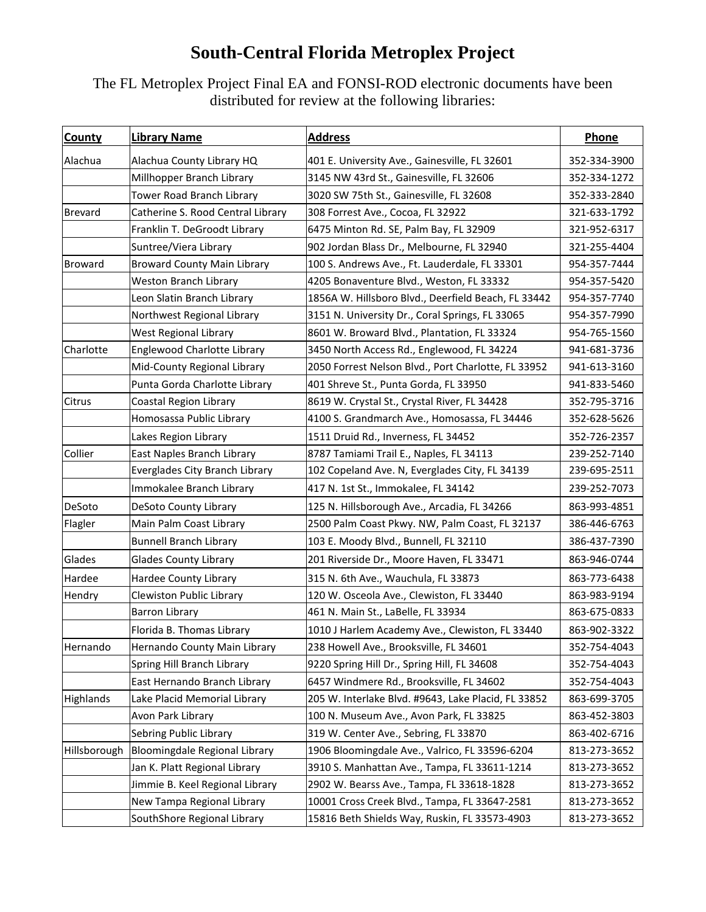## **South-Central Florida Metroplex Project**

The FL Metroplex Project Final EA and FONSI-ROD electronic documents have been distributed for review at the following libraries:

| <b>County</b>  | <b>Library Name</b>                | <b>Address</b>                                      | Phone        |
|----------------|------------------------------------|-----------------------------------------------------|--------------|
| Alachua        | Alachua County Library HQ          | 401 E. University Ave., Gainesville, FL 32601       | 352-334-3900 |
|                | Millhopper Branch Library          | 3145 NW 43rd St., Gainesville, FL 32606             | 352-334-1272 |
|                | Tower Road Branch Library          | 3020 SW 75th St., Gainesville, FL 32608             | 352-333-2840 |
| <b>Brevard</b> | Catherine S. Rood Central Library  | 308 Forrest Ave., Cocoa, FL 32922                   | 321-633-1792 |
|                | Franklin T. DeGroodt Library       | 6475 Minton Rd. SE, Palm Bay, FL 32909              | 321-952-6317 |
|                | Suntree/Viera Library              | 902 Jordan Blass Dr., Melbourne, FL 32940           | 321-255-4404 |
| <b>Broward</b> | <b>Broward County Main Library</b> | 100 S. Andrews Ave., Ft. Lauderdale, FL 33301       | 954-357-7444 |
|                | <b>Weston Branch Library</b>       | 4205 Bonaventure Blvd., Weston, FL 33332            | 954-357-5420 |
|                | Leon Slatin Branch Library         | 1856A W. Hillsboro Blvd., Deerfield Beach, FL 33442 | 954-357-7740 |
|                | Northwest Regional Library         | 3151 N. University Dr., Coral Springs, FL 33065     | 954-357-7990 |
|                | West Regional Library              | 8601 W. Broward Blvd., Plantation, FL 33324         | 954-765-1560 |
| Charlotte      | Englewood Charlotte Library        | 3450 North Access Rd., Englewood, FL 34224          | 941-681-3736 |
|                | Mid-County Regional Library        | 2050 Forrest Nelson Blvd., Port Charlotte, FL 33952 | 941-613-3160 |
|                | Punta Gorda Charlotte Library      | 401 Shreve St., Punta Gorda, FL 33950               | 941-833-5460 |
| Citrus         | <b>Coastal Region Library</b>      | 8619 W. Crystal St., Crystal River, FL 34428        | 352-795-3716 |
|                | Homosassa Public Library           | 4100 S. Grandmarch Ave., Homosassa, FL 34446        | 352-628-5626 |
|                | Lakes Region Library               | 1511 Druid Rd., Inverness, FL 34452                 | 352-726-2357 |
| Collier        | East Naples Branch Library         | 8787 Tamiami Trail E., Naples, FL 34113             | 239-252-7140 |
|                | Everglades City Branch Library     | 102 Copeland Ave. N, Everglades City, FL 34139      | 239-695-2511 |
|                | Immokalee Branch Library           | 417 N. 1st St., Immokalee, FL 34142                 | 239-252-7073 |
| DeSoto         | DeSoto County Library              | 125 N. Hillsborough Ave., Arcadia, FL 34266         | 863-993-4851 |
| Flagler        | Main Palm Coast Library            | 2500 Palm Coast Pkwy. NW, Palm Coast, FL 32137      | 386-446-6763 |
|                | <b>Bunnell Branch Library</b>      | 103 E. Moody Blvd., Bunnell, FL 32110               | 386-437-7390 |
| Glades         | <b>Glades County Library</b>       | 201 Riverside Dr., Moore Haven, FL 33471            | 863-946-0744 |
| Hardee         | Hardee County Library              | 315 N. 6th Ave., Wauchula, FL 33873                 | 863-773-6438 |
| Hendry         | Clewiston Public Library           | 120 W. Osceola Ave., Clewiston, FL 33440            | 863-983-9194 |
|                | <b>Barron Library</b>              | 461 N. Main St., LaBelle, FL 33934                  | 863-675-0833 |
|                | Florida B. Thomas Library          | 1010 J Harlem Academy Ave., Clewiston, FL 33440     | 863-902-3322 |
| Hernando       | Hernando County Main Library       | 238 Howell Ave., Brooksville, FL 34601              | 352-754-4043 |
|                | Spring Hill Branch Library         | 9220 Spring Hill Dr., Spring Hill, FL 34608         | 352-754-4043 |
|                | East Hernando Branch Library       | 6457 Windmere Rd., Brooksville, FL 34602            | 352-754-4043 |
| Highlands      | Lake Placid Memorial Library       | 205 W. Interlake Blvd. #9643, Lake Placid, FL 33852 | 863-699-3705 |
|                | Avon Park Library                  | 100 N. Museum Ave., Avon Park, FL 33825             | 863-452-3803 |
|                | Sebring Public Library             | 319 W. Center Ave., Sebring, FL 33870               | 863-402-6716 |
| Hillsborough   | Bloomingdale Regional Library      | 1906 Bloomingdale Ave., Valrico, FL 33596-6204      | 813-273-3652 |
|                | Jan K. Platt Regional Library      | 3910 S. Manhattan Ave., Tampa, FL 33611-1214        | 813-273-3652 |
|                | Jimmie B. Keel Regional Library    | 2902 W. Bearss Ave., Tampa, FL 33618-1828           | 813-273-3652 |
|                | New Tampa Regional Library         | 10001 Cross Creek Blvd., Tampa, FL 33647-2581       | 813-273-3652 |
|                | SouthShore Regional Library        | 15816 Beth Shields Way, Ruskin, FL 33573-4903       | 813-273-3652 |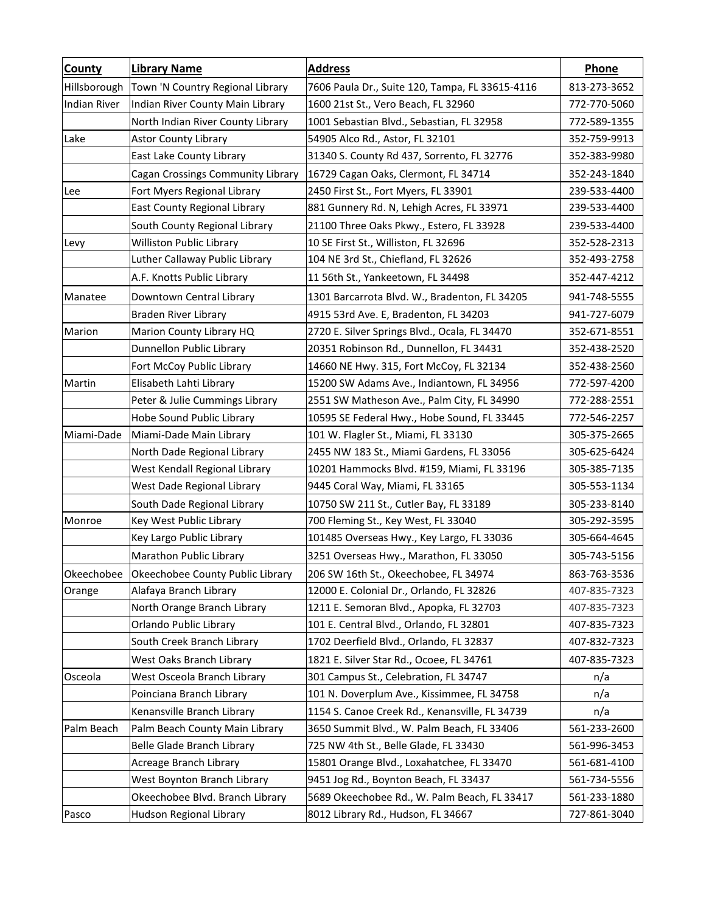| <b>County</b>       | <b>Library Name</b>               | <b>Address</b>                                  | Phone        |
|---------------------|-----------------------------------|-------------------------------------------------|--------------|
| Hillsborough        | Town 'N Country Regional Library  | 7606 Paula Dr., Suite 120, Tampa, FL 33615-4116 | 813-273-3652 |
| <b>Indian River</b> | Indian River County Main Library  | 1600 21st St., Vero Beach, FL 32960             | 772-770-5060 |
|                     | North Indian River County Library | 1001 Sebastian Blvd., Sebastian, FL 32958       | 772-589-1355 |
| Lake                | <b>Astor County Library</b>       | 54905 Alco Rd., Astor, FL 32101                 | 352-759-9913 |
|                     | East Lake County Library          | 31340 S. County Rd 437, Sorrento, FL 32776      | 352-383-9980 |
|                     | Cagan Crossings Community Library | 16729 Cagan Oaks, Clermont, FL 34714            | 352-243-1840 |
| Lee                 | Fort Myers Regional Library       | 2450 First St., Fort Myers, FL 33901            | 239-533-4400 |
|                     | East County Regional Library      | 881 Gunnery Rd. N, Lehigh Acres, FL 33971       | 239-533-4400 |
|                     | South County Regional Library     | 21100 Three Oaks Pkwy., Estero, FL 33928        | 239-533-4400 |
| Levy                | Williston Public Library          | 10 SE First St., Williston, FL 32696            | 352-528-2313 |
|                     | Luther Callaway Public Library    | 104 NE 3rd St., Chiefland, FL 32626             | 352-493-2758 |
|                     | A.F. Knotts Public Library        | 11 56th St., Yankeetown, FL 34498               | 352-447-4212 |
| Manatee             | Downtown Central Library          | 1301 Barcarrota Blvd. W., Bradenton, FL 34205   | 941-748-5555 |
|                     | <b>Braden River Library</b>       | 4915 53rd Ave. E, Bradenton, FL 34203           | 941-727-6079 |
| Marion              | Marion County Library HQ          | 2720 E. Silver Springs Blvd., Ocala, FL 34470   | 352-671-8551 |
|                     | Dunnellon Public Library          | 20351 Robinson Rd., Dunnellon, FL 34431         | 352-438-2520 |
|                     | Fort McCoy Public Library         | 14660 NE Hwy. 315, Fort McCoy, FL 32134         | 352-438-2560 |
| Martin              | Elisabeth Lahti Library           | 15200 SW Adams Ave., Indiantown, FL 34956       | 772-597-4200 |
|                     | Peter & Julie Cummings Library    | 2551 SW Matheson Ave., Palm City, FL 34990      | 772-288-2551 |
|                     | Hobe Sound Public Library         | 10595 SE Federal Hwy., Hobe Sound, FL 33445     | 772-546-2257 |
| Miami-Dade          | Miami-Dade Main Library           | 101 W. Flagler St., Miami, FL 33130             | 305-375-2665 |
|                     | North Dade Regional Library       | 2455 NW 183 St., Miami Gardens, FL 33056        | 305-625-6424 |
|                     | West Kendall Regional Library     | 10201 Hammocks Blvd. #159, Miami, FL 33196      | 305-385-7135 |
|                     | West Dade Regional Library        | 9445 Coral Way, Miami, FL 33165                 | 305-553-1134 |
|                     | South Dade Regional Library       | 10750 SW 211 St., Cutler Bay, FL 33189          | 305-233-8140 |
| Monroe              | Key West Public Library           | 700 Fleming St., Key West, FL 33040             | 305-292-3595 |
|                     | Key Largo Public Library          | 101485 Overseas Hwy., Key Largo, FL 33036       | 305-664-4645 |
|                     | Marathon Public Library           | 3251 Overseas Hwy., Marathon, FL 33050          | 305-743-5156 |
| Okeechobee          | Okeechobee County Public Library  | 206 SW 16th St., Okeechobee, FL 34974           | 863-763-3536 |
| Orange              | Alafaya Branch Library            | 12000 E. Colonial Dr., Orlando, FL 32826        | 407-835-7323 |
|                     | North Orange Branch Library       | 1211 E. Semoran Blvd., Apopka, FL 32703         | 407-835-7323 |
|                     | Orlando Public Library            | 101 E. Central Blvd., Orlando, FL 32801         | 407-835-7323 |
|                     | South Creek Branch Library        | 1702 Deerfield Blvd., Orlando, FL 32837         | 407-832-7323 |
|                     | West Oaks Branch Library          | 1821 E. Silver Star Rd., Ocoee, FL 34761        | 407-835-7323 |
| Osceola             | West Osceola Branch Library       | 301 Campus St., Celebration, FL 34747           | n/a          |
|                     | Poinciana Branch Library          | 101 N. Doverplum Ave., Kissimmee, FL 34758      | n/a          |
|                     | Kenansville Branch Library        | 1154 S. Canoe Creek Rd., Kenansville, FL 34739  | n/a          |
| Palm Beach          | Palm Beach County Main Library    | 3650 Summit Blvd., W. Palm Beach, FL 33406      | 561-233-2600 |
|                     | Belle Glade Branch Library        | 725 NW 4th St., Belle Glade, FL 33430           | 561-996-3453 |
|                     | Acreage Branch Library            | 15801 Orange Blvd., Loxahatchee, FL 33470       | 561-681-4100 |
|                     | West Boynton Branch Library       | 9451 Jog Rd., Boynton Beach, FL 33437           | 561-734-5556 |
|                     | Okeechobee Blvd. Branch Library   | 5689 Okeechobee Rd., W. Palm Beach, FL 33417    | 561-233-1880 |
| Pasco               | Hudson Regional Library           | 8012 Library Rd., Hudson, FL 34667              | 727-861-3040 |